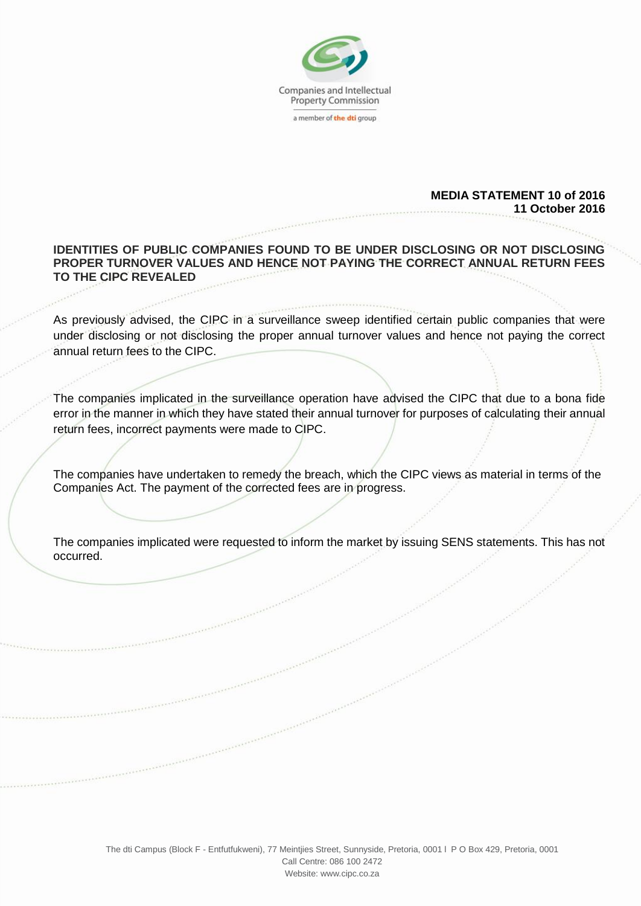

## **MEDIA STATEMENT 10 of 2016 11 October 2016**

## **IDENTITIES OF PUBLIC COMPANIES FOUND TO BE UNDER DISCLOSING OR NOT DISCLOSING PROPER TURNOVER VALUES AND HENCE NOT PAYING THE CORRECT ANNUAL RETURN FEES TO THE CIPC REVEALED**

As previously advised, the CIPC in a surveillance sweep identified certain public companies that were under disclosing or not disclosing the proper annual turnover values and hence not paying the correct annual return fees to the CIPC.

The companies implicated in the surveillance operation have advised the CIPC that due to a bona fide error in the manner in which they have stated their annual turnover for purposes of calculating their annual return fees, incorrect payments were made to CIPC.

The companies have undertaken to remedy the breach, which the CIPC views as material in terms of the Companies Act. The payment of the corrected fees are in progress.

The companies implicated were requested to inform the market by issuing SENS statements. This has not occurred.

The dti Campus (Block F - Entfutfukweni), 77 Meintjies Street, Sunnyside, Pretoria, 0001 l P O Box 429, Pretoria, 0001

Call Centre: 086 100 2472 Webs[ite: www.cipc.co.za](http://www.cipc.co.za/)